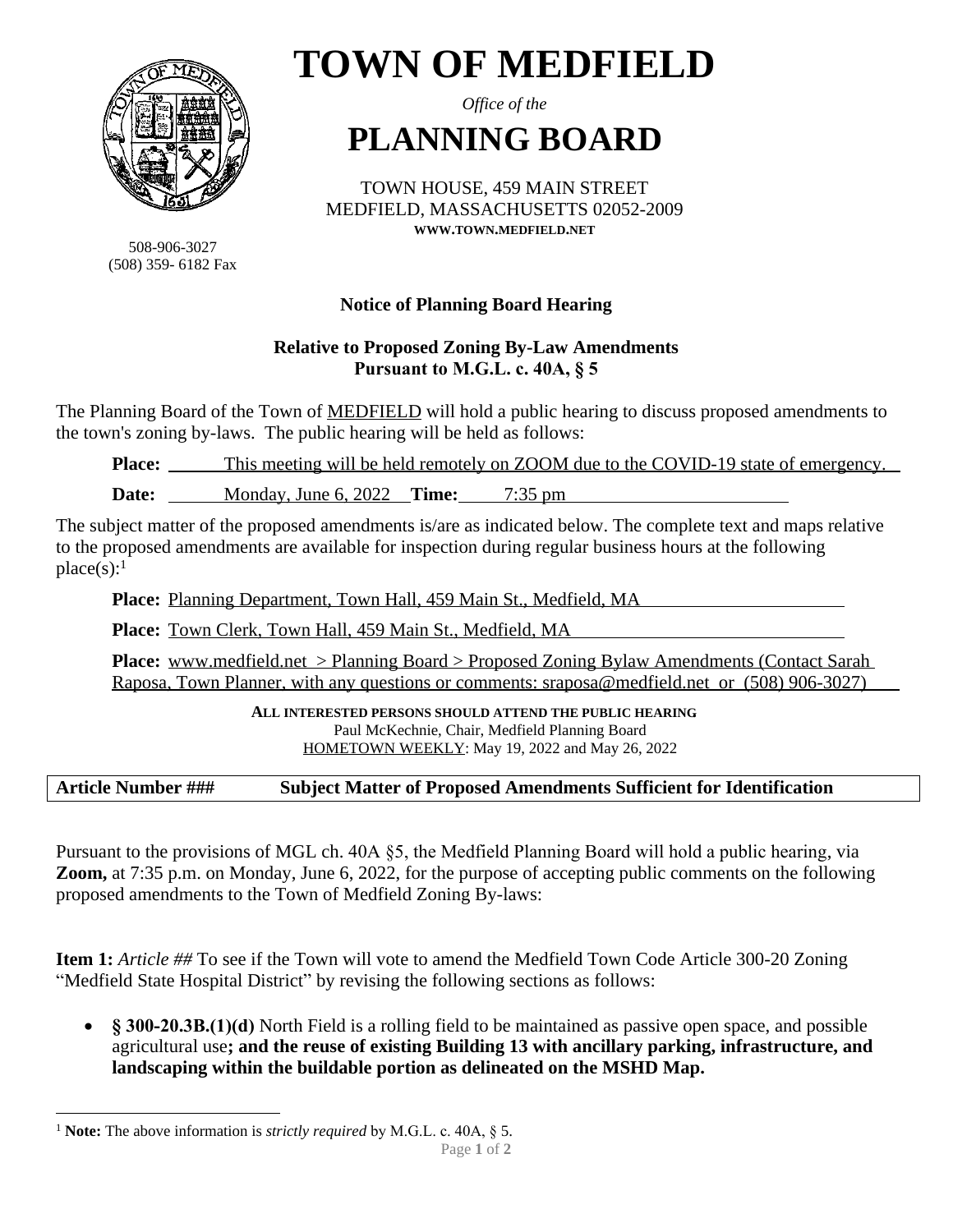

508-906-3027 (508) 359- 6182 Fax

# **TOWN OF MEDFIELD**

*Office of the*

# **PLANNING BOARD**

TOWN HOUSE, 459 MAIN STREET MEDFIELD, MASSACHUSETTS 02052-2009 **WWW.TOWN.MEDFIELD.NET**

# **Notice of Planning Board Hearing**

# **Relative to Proposed Zoning By-Law Amendments Pursuant to M.G.L. c. 40A, § 5**

The Planning Board of the Town of MEDFIELD will hold a public hearing to discuss proposed amendments to the town's zoning by-laws. The public hearing will be held as follows:

**Place:** This meeting will be held remotely on ZOOM due to the COVID-19 state of emergency.

**Date:** Monday, June 6, 2022 **Time:** 7:35 pm

The subject matter of the proposed amendments is/are as indicated below. The complete text and maps relative to the proposed amendments are available for inspection during regular business hours at the following  $place(s):$ <sup>1</sup>

**Place:** Planning Department, Town Hall, 459 Main St., Medfield, MA

**Place:** Town Clerk, Town Hall, 459 Main St., Medfield, MA

**Place:** www.medfield.net > Planning Board > Proposed Zoning Bylaw Amendments (Contact Sarah Raposa, Town Planner, with any questions or comments: sraposa@medfield.net or (508) 906-3027)

> **ALL INTERESTED PERSONS SHOULD ATTEND THE PUBLIC HEARING.** Paul McKechnie, Chair, Medfield Planning Board HOMETOWN WEEKLY: May 19, 2022 and May 26, 2022

#### **Article Number ### Subject Matter of Proposed Amendments Sufficient for Identification**

Pursuant to the provisions of MGL ch. 40A §5, the Medfield Planning Board will hold a public hearing, via **Zoom,** at 7:35 p.m. on Monday, June 6, 2022, for the purpose of accepting public comments on the following proposed amendments to the Town of Medfield Zoning By-laws:

**Item 1:** *Article ##* To see if the Town will vote to amend the Medfield Town Code Article 300-20 Zoning "Medfield State Hospital District" by revising the following sections as follows:

 **§ 300-20.3B.(1)(d)** North Field is a rolling field to be maintained as passive open space, and possible agricultural use**; and the reuse of existing Building 13 with ancillary parking, infrastructure, and landscaping within the buildable portion as delineated on the MSHD Map.**

<sup>1</sup> **Note:** The above information is *strictly required* by M.G.L. c. 40A, § 5.

Page **1** of **2**